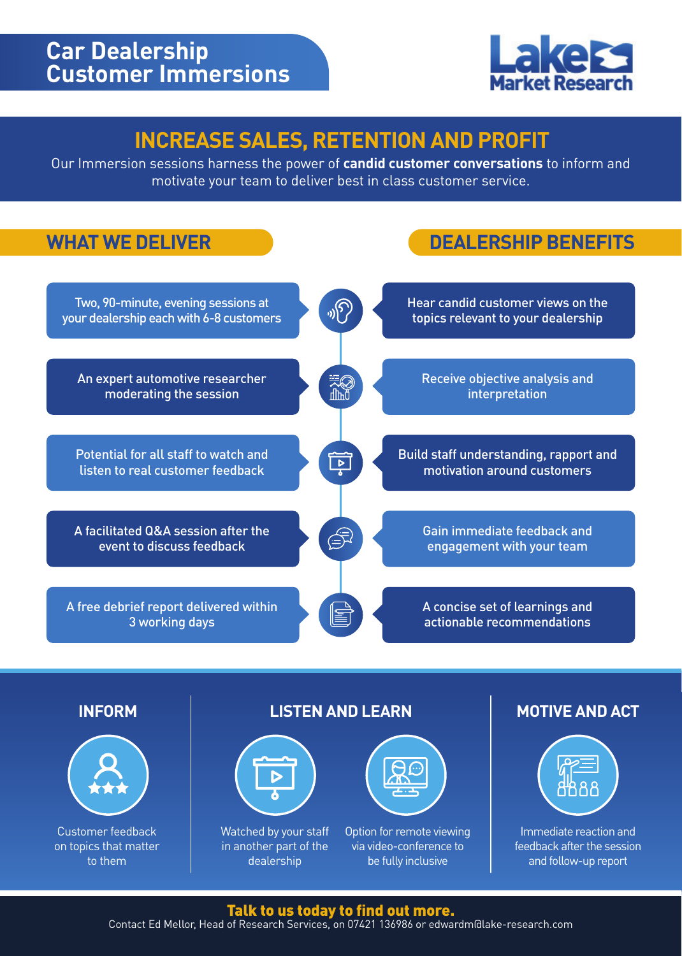

# **INCREASE SALES, RETENTION AND PROFIT**

Our Immersion sessions harness the power of **candid customer conversations** to inform and motivate your team to deliver best in class customer service.







Customer feedback on topics that matter to them

### **LISTEN AND LEARN**



Watched by your staff in another part of the dealership



Option for remote viewing via video-conference to be fully inclusive

### **MOTIVE AND ACT**



Immediate reaction and feedback after the session and follow-up report

### Talk to us today to find out more.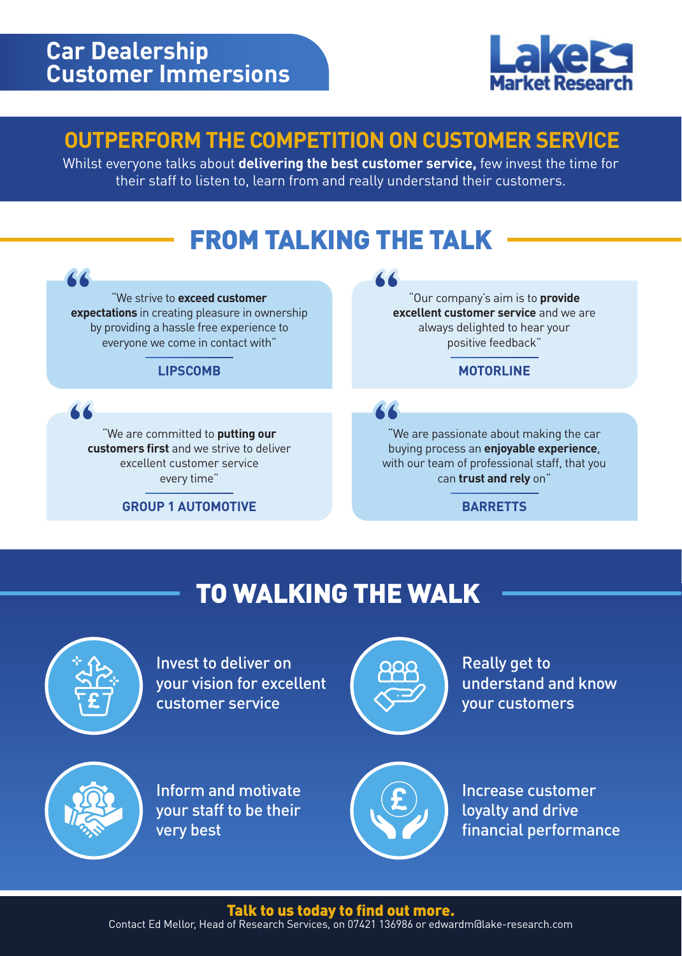

# **OUTPERFORM THE COMPETITION ON CUSTOMER SERVICE**

Whilst everyone talks about **delivering the best customer service,** few invest the time for their staff to listen to, learn from and really understand their customers.

# FROM TALKING THE TALK

| "We strive to exceed customer                  | "Our company's aim is to <b>provide</b>       |
|------------------------------------------------|-----------------------------------------------|
| expectations in creating pleasure in ownership | excellent customer service and we are         |
| by providing a hassle free experience to       | always delighted to hear your                 |
| everyone we come in contact with"              | positive feedback"                            |
| <b>LIPSCOMB</b>                                | <b>MOTORLINE</b>                              |
|                                                |                                               |
| "We are committed to <b>putting our</b>        | "We are passionate about making the car       |
| customers first and we strive to deliver       | buying process an enjoyable experience,       |
| excellent customer service                     | with our team of professional staff, that you |
| every time"                                    | can trust and rely on"                        |
| <b>GROUP 1 AUTOMOTIVE</b>                      | <b>BARRETTS</b>                               |

# TO WALKING THE WALK



Invest to deliver on your vision for excellent customer service



Really get to understand and know your customers



Inform and motivate your staff to be their very best



Increase customer loyalty and drive financial performance

#### Talk to us today to find out more.

Contact Ed Mellor, Head of Research Services, on 07421 136986 or edwardm@lake-research.com